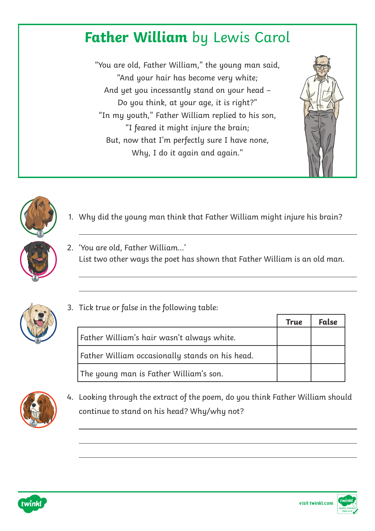## **Father William** by Lewis Carol

"You are old, Father William," the young man said, "And your hair has become very white; And yet you incessantly stand on your head – Do you think, at your age, it is right?" "In my youth," Father William replied to his son, "I feared it might injure the brain; But, now that I'm perfectly sure I have none, Why, I do it again and again."





- 1. Why did the young man think that Father William might injure his brain?
- 2. 'You are old, Father William…' List two other ways the poet has shown that Father William is an old man.



3. Tick true or false in the following table:

|                                                 | True | <b>False</b> |
|-------------------------------------------------|------|--------------|
| Father William's hair wasn't always white.      |      |              |
| Father William occasionally stands on his head. |      |              |
| The young man is Father William's son.          |      |              |



4. Looking through the extract of the poem, do you think Father William should continue to stand on his head? Why/why not?